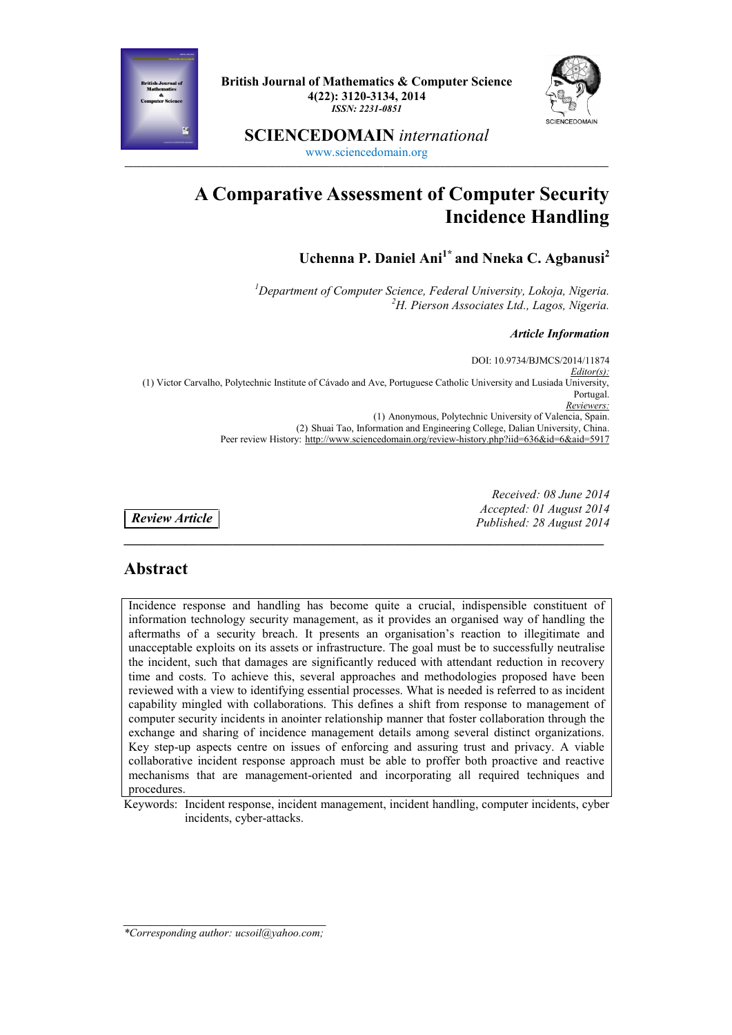

**British Journal of Mathematics & Computer Science 4(22): 3120-3134, 2014** *ISSN: 2231-0851*



**SCIENCEDOMAIN** *international* www.sciencedomain.org

**\_\_\_\_\_\_\_\_\_\_\_\_\_\_\_\_\_\_\_\_\_\_\_\_\_\_\_\_\_\_\_\_\_\_\_\_\_\_\_\_\_\_\_\_\_\_\_\_\_\_\_\_\_\_\_\_\_\_\_\_\_\_\_\_\_\_\_\_\_\_\_\_\_\_\_\_\_\_\_\_\_\_\_\_\_\_\_\_\_\_\_\_\_\_\_\_\_\_\_\_\_\_\_\_\_\_\_\_\_\_\_\_\_\_\_\_\_\_**

# **A Comparative Assessment of Computer Security Incidence Handling**

**Uchenna P. Daniel Ani1\* and Nneka C. Agbanusi<sup>2</sup>**

*<sup>1</sup>Department of Computer Science, Federal University, Lokoja, Nigeria. <sup>2</sup>H. Pierson Associates Ltd., Lagos, Nigeria.*

*Article Information*

DOI: 10.9734/BJMCS/2014/11874 *Editor(s):* (1) Victor Carvalho, Polytechnic Institute of Cávado and Ave, Portuguese Catholic University and Lusiada University, Portugal *Reviewers:* (1) Anonymous, Polytechnic University of Valencia, Spain. (2) Shuai Tao, Information and Engineering College, Dalian University, China. Peer review History: http://www.sciencedomain.org/review-history.php?iid=636&id=6&aid=5917

**\_\_\_\_\_\_\_\_\_\_\_\_\_\_\_\_\_\_\_\_\_\_\_\_\_\_\_\_\_\_\_\_\_\_\_\_\_\_\_\_\_\_\_\_\_\_\_\_\_\_\_\_\_\_\_\_\_\_\_\_\_\_\_\_\_\_\_\_\_\_\_**

*Review Article*

*Received: 08 June 2014 Accepted: 01 August 2014 Published: 28 August 2014*

### **Abstract**

Incidence response and handling has become quite a crucial, indispensible constituent of information technology security management, as it provides an organised way of handling the aftermaths of a security breach. It presents an organisation's reaction to illegitimate and unacceptable exploits on its assets or infrastructure. The goal must be to successfully neutralise the incident, such that damages are significantly reduced with attendant reduction in recovery time and costs. To achieve this, several approaches and methodologies proposed have been reviewed with a view to identifying essential processes. What is needed is referred to as incident capability mingled with collaborations. This defines a shift from response to management of computer security incidents in anointer relationship manner that foster collaboration through the exchange and sharing of incidence management details among several distinct organizations. Key step-up aspects centre on issues of enforcing and assuring trust and privacy. A viable collaborative incident response approach must be able to proffer both proactive and reactive mechanisms that are management-oriented and incorporating all required techniques and procedures.

Keywords: Incident response, incident management, incident handling, computer incidents, cyber incidents, cyber-attacks.

*\_\_\_\_\_\_\_\_\_\_\_\_\_\_\_\_\_\_\_\_\_\_\_\_\_\_\_\_\_\_\_\_\_\_\_\_\_ \*Corresponding author: ucsoil@yahoo.com;*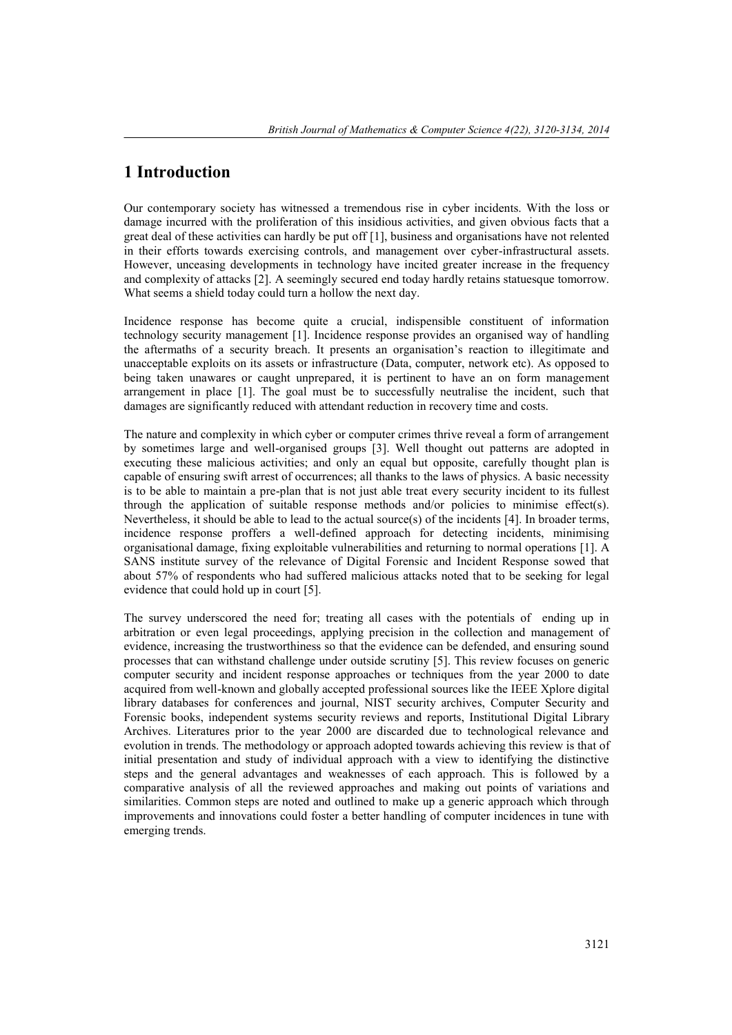### **1 Introduction**

Our contemporary society has witnessed a tremendous rise in cyber incidents. With the loss or damage incurred with the proliferation of this insidious activities, and given obvious facts that a great deal of these activities can hardly be put off [1], business and organisations have not relented in their efforts towards exercising controls, and management over cyber-infrastructural assets. However, unceasing developments in technology have incited greater increase in the frequency and complexity of attacks [2]. A seemingly secured end today hardly retains statuesque tomorrow. What seems a shield today could turn a hollow the next day.

Incidence response has become quite a crucial, indispensible constituent of information technology security management [1]. Incidence response provides an organised way of handling the aftermaths of a security breach. It presents an organisation's reaction to illegitimate and unacceptable exploits on its assets or infrastructure (Data, computer, network etc). As opposed to being taken unawares or caught unprepared, it is pertinent to have an on form management arrangement in place [1]. The goal must be to successfully neutralise the incident, such that damages are significantly reduced with attendant reduction in recovery time and costs.

The nature and complexity in which cyber or computer crimes thrive reveal a form of arrangement by sometimes large and well-organised groups [3]. Well thought out patterns are adopted in executing these malicious activities; and only an equal but opposite, carefully thought plan is capable of ensuring swift arrest of occurrences; all thanks to the laws of physics. A basic necessity is to be able to maintain a pre-plan that is not just able treat every security incident to its fullest through the application of suitable response methods and/or policies to minimise effect(s). Nevertheless, it should be able to lead to the actual source(s) of the incidents  $[4]$ . In broader terms, incidence response proffers a well-defined approach for detecting incidents, minimising organisational damage, fixing exploitable vulnerabilities and returning to normal operations [1]. A SANS institute survey of the relevance of Digital Forensic and Incident Response sowed that about 57% of respondents who had suffered malicious attacks noted that to be seeking for legal evidence that could hold up in court [5].

The survey underscored the need for; treating all cases with the potentials of ending up in arbitration or even legal proceedings, applying precision in the collection and management of evidence, increasing the trustworthiness so that the evidence can be defended, and ensuring sound processes that can withstand challenge under outside scrutiny [5]. This review focuses on generic computer security and incident response approaches or techniques from the year 2000 to date acquired from well-known and globally accepted professional sources like the IEEE Xplore digital library databases for conferences and journal, NIST security archives, Computer Security and Forensic books, independent systems security reviews and reports, Institutional Digital Library Archives. Literatures prior to the year 2000 are discarded due to technological relevance and evolution in trends. The methodology or approach adopted towards achieving this review is that of initial presentation and study of individual approach with a view to identifying the distinctive steps and the general advantages and weaknesses of each approach. This is followed by a comparative analysis of all the reviewed approaches and making out points of variations and similarities. Common steps are noted and outlined to make up a generic approach which through improvements and innovations could foster a better handling of computer incidences in tune with emerging trends.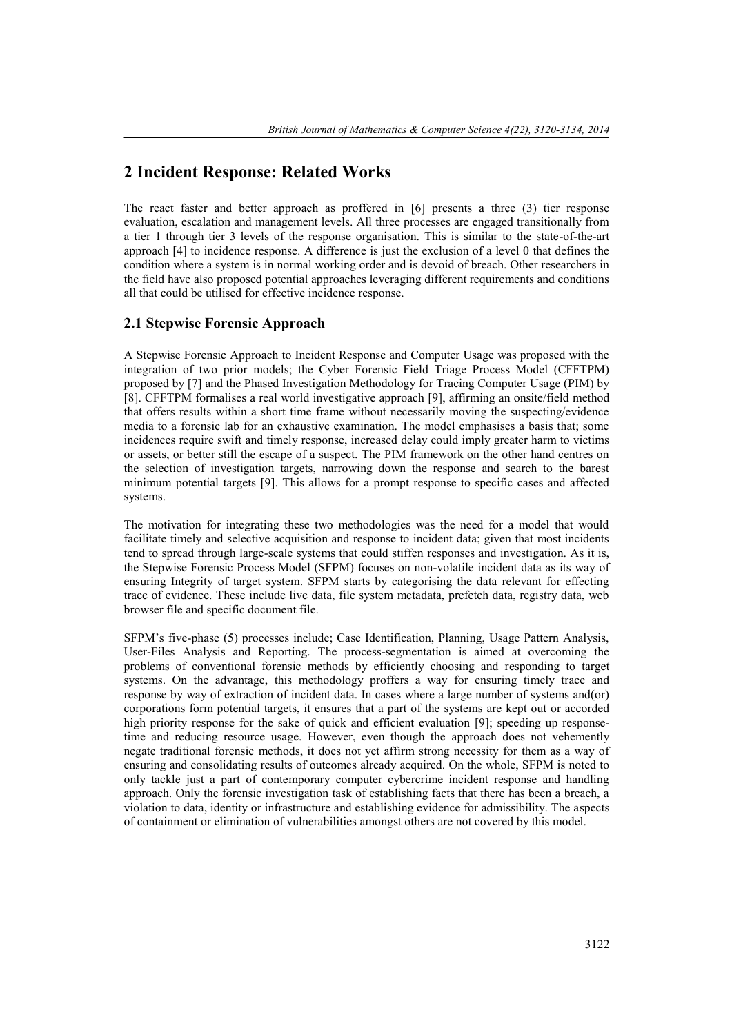### **2 Incident Response: Related Works**

The react faster and better approach as proffered in [6] presents a three (3) tier response evaluation, escalation and management levels. All three processes are engaged transitionally from a tier 1 through tier 3 levels of the response organisation. This is similar to the state-of-the-art approach [4] to incidence response. A difference is just the exclusion of a level 0 that defines the condition where a system is in normal working order and is devoid of breach. Other researchers in the field have also proposed potential approaches leveraging different requirements and conditions all that could be utilised for effective incidence response.

#### **2.1 Stepwise Forensic Approach**

A Stepwise Forensic Approach to Incident Response and Computer Usage was proposed with the integration of two prior models; the Cyber Forensic Field Triage Process Model (CFFTPM) proposed by [7] and the Phased Investigation Methodology for Tracing Computer Usage (PIM) by [8]. CFFTPM formalises a real world investigative approach [9], affirming an onsite/field method that offers results within a short time frame without necessarily moving the suspecting/evidence media to a forensic lab for an exhaustive examination. The model emphasises a basis that; some incidences require swift and timely response, increased delay could imply greater harm to victims or assets, or better still the escape of a suspect. The PIM framework on the other hand centres on the selection of investigation targets, narrowing down the response and search to the barest minimum potential targets [9]. This allows for a prompt response to specific cases and affected systems.

The motivation for integrating these two methodologies was the need for a model that would facilitate timely and selective acquisition and response to incident data; given that most incidents tend to spread through large-scale systems that could stiffen responses and investigation. As it is, the Stepwise Forensic Process Model (SFPM) focuses on non-volatile incident data as its way of ensuring Integrity of target system. SFPM starts by categorising the data relevant for effecting trace of evidence. These include live data, file system metadata, prefetch data, registry data, web browser file and specific document file.

SFPM's five-phase (5) processes include; Case Identification, Planning, Usage Pattern Analysis, User-Files Analysis and Reporting. The process-segmentation is aimed at overcoming the problems of conventional forensic methods by efficiently choosing and responding to target systems. On the advantage, this methodology proffers a way for ensuring timely trace and response by way of extraction of incident data. In cases where a large number of systems and(or) corporations form potential targets, it ensures that a part of the systems are kept out or accorded high priority response for the sake of quick and efficient evaluation [9]; speeding up responsetime and reducing resource usage. However, even though the approach does not vehemently negate traditional forensic methods, it does not yet affirm strong necessity for them as a way of ensuring and consolidating results of outcomes already acquired. On the whole, SFPM is noted to only tackle just a part of contemporary computer cybercrime incident response and handling approach. Only the forensic investigation task of establishing facts that there has been a breach, a violation to data, identity or infrastructure and establishing evidence for admissibility. The aspects of containment or elimination of vulnerabilities amongst others are not covered by this model.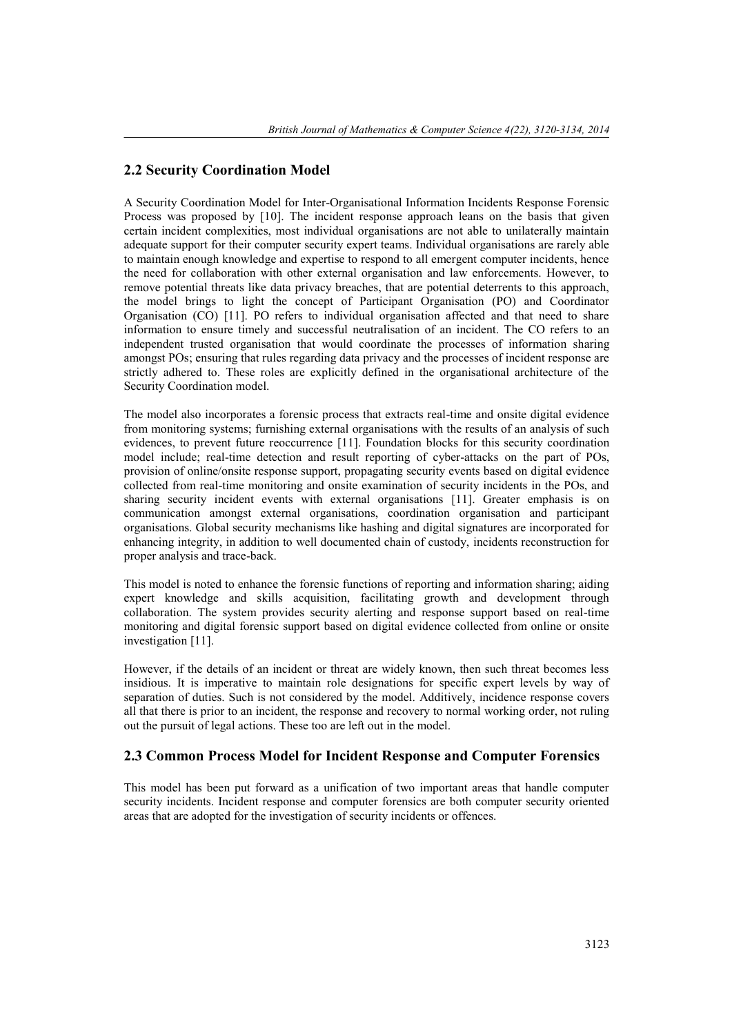#### **2.2 Security Coordination Model**

A Security Coordination Model for Inter-Organisational Information Incidents Response Forensic Process was proposed by [10]. The incident response approach leans on the basis that given certain incident complexities, most individual organisations are not able to unilaterally maintain adequate support for their computer security expert teams. Individual organisations are rarely able to maintain enough knowledge and expertise to respond to all emergent computer incidents, hence the need for collaboration with other external organisation and law enforcements. However, to remove potential threats like data privacy breaches, that are potential deterrents to this approach, the model brings to light the concept of Participant Organisation (PO) and Coordinator Organisation (CO) [11]. PO refers to individual organisation affected and that need to share information to ensure timely and successful neutralisation of an incident. The CO refers to an independent trusted organisation that would coordinate the processes of information sharing amongst POs; ensuring that rules regarding data privacy and the processes of incident response are strictly adhered to. These roles are explicitly defined in the organisational architecture of the Security Coordination model.

The model also incorporates a forensic process that extracts real-time and onsite digital evidence from monitoring systems; furnishing external organisations with the results of an analysis of such evidences, to prevent future reoccurrence [11]. Foundation blocks for this security coordination model include; real-time detection and result reporting of cyber-attacks on the part of POs, provision of online/onsite response support, propagating security events based on digital evidence collected from real-time monitoring and onsite examination of security incidents in the POs, and sharing security incident events with external organisations [11]. Greater emphasis is on communication amongst external organisations, coordination organisation and participant organisations. Global security mechanisms like hashing and digital signatures are incorporated for enhancing integrity, in addition to well documented chain of custody, incidents reconstruction for proper analysis and trace-back.

This model is noted to enhance the forensic functions of reporting and information sharing; aiding expert knowledge and skills acquisition, facilitating growth and development through collaboration. The system provides security alerting and response support based on real-time monitoring and digital forensic support based on digital evidence collected from online or onsite investigation [11].

However, if the details of an incident or threat are widely known, then such threat becomes less insidious. It is imperative to maintain role designations for specific expert levels by way of separation of duties. Such is not considered by the model. Additively, incidence response covers all that there is prior to an incident, the response and recovery to normal working order, not ruling out the pursuit of legal actions. These too are left out in the model.

#### **2.3 Common Process Model for Incident Response and Computer Forensics**

This model has been put forward as a unification of two important areas that handle computer security incidents. Incident response and computer forensics are both computer security oriented areas that are adopted for the investigation of security incidents or offences.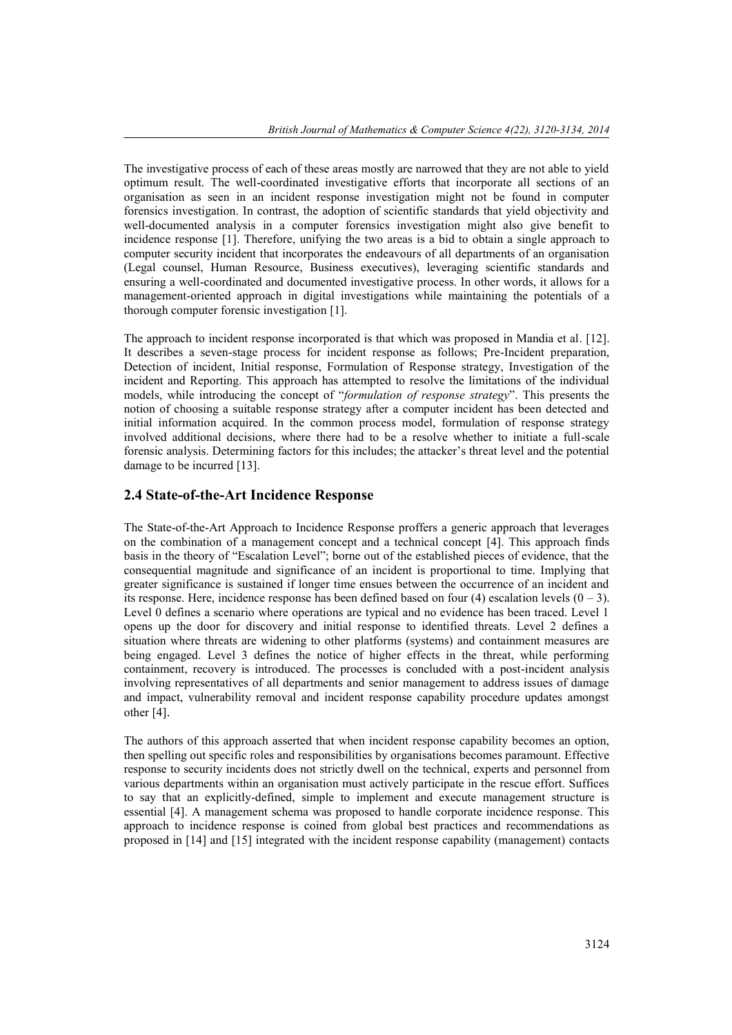The investigative process of each of these areas mostly are narrowed that they are not able to yield optimum result. The well-coordinated investigative efforts that incorporate all sections of an organisation as seen in an incident response investigation might not be found in computer forensics investigation. In contrast, the adoption of scientific standards that yield objectivity and well-documented analysis in a computer forensics investigation might also give benefit to incidence response [1]. Therefore, unifying the two areas is a bid to obtain a single approach to computer security incident that incorporates the endeavours of all departments of an organisation (Legal counsel, Human Resource, Business executives), leveraging scientific standards and ensuring a well-coordinated and documented investigative process. In other words, it allows for a management-oriented approach in digital investigations while maintaining the potentials of a thorough computer forensic investigation [1].

The approach to incident response incorporated is that which was proposed in Mandia et al. [12]. It describes a seven-stage process for incident response as follows; Pre-Incident preparation, Detection of incident, Initial response, Formulation of Response strategy, Investigation of the incident and Reporting. This approach has attempted to resolve the limitations of the individual models, while introducing the concept of "*formulation of response strategy*". This presents the notion of choosing a suitable response strategy after a computer incident has been detected and initial information acquired. In the common process model, formulation of response strategy involved additional decisions, where there had to be a resolve whether to initiate a full-scale forensic analysis. Determining factors for this includes; the attacker's threat level and the potential damage to be incurred [13].

#### **2.4 State-of-the-Art Incidence Response**

The State-of-the-Art Approach to Incidence Response proffers a generic approach that leverages on the combination of a management concept and a technical concept [4]. This approach finds basis in the theory of "Escalation Level"; borne out of the established pieces of evidence, that the consequential magnitude and significance of an incident is proportional to time. Implying that greater significance is sustained if longer time ensues between the occurrence of an incident and its response. Here, incidence response has been defined based on four  $(4)$  escalation levels  $(0 - 3)$ . Level 0 defines a scenario where operations are typical and no evidence has been traced. Level 1 opens up the door for discovery and initial response to identified threats. Level 2 defines a situation where threats are widening to other platforms (systems) and containment measures are being engaged. Level 3 defines the notice of higher effects in the threat, while performing containment, recovery is introduced. The processes is concluded with a post-incident analysis involving representatives of all departments and senior management to address issues of damage and impact, vulnerability removal and incident response capability procedure updates amongst other [4].

The authors of this approach asserted that when incident response capability becomes an option, then spelling out specific roles and responsibilities by organisations becomes paramount. Effective response to security incidents does not strictly dwell on the technical, experts and personnel from various departments within an organisation must actively participate in the rescue effort. Suffices to say that an explicitly-defined, simple to implement and execute management structure is essential [4]. A management schema was proposed to handle corporate incidence response. This approach to incidence response is coined from global best practices and recommendations as proposed in [14] and [15] integrated with the incident response capability (management) contacts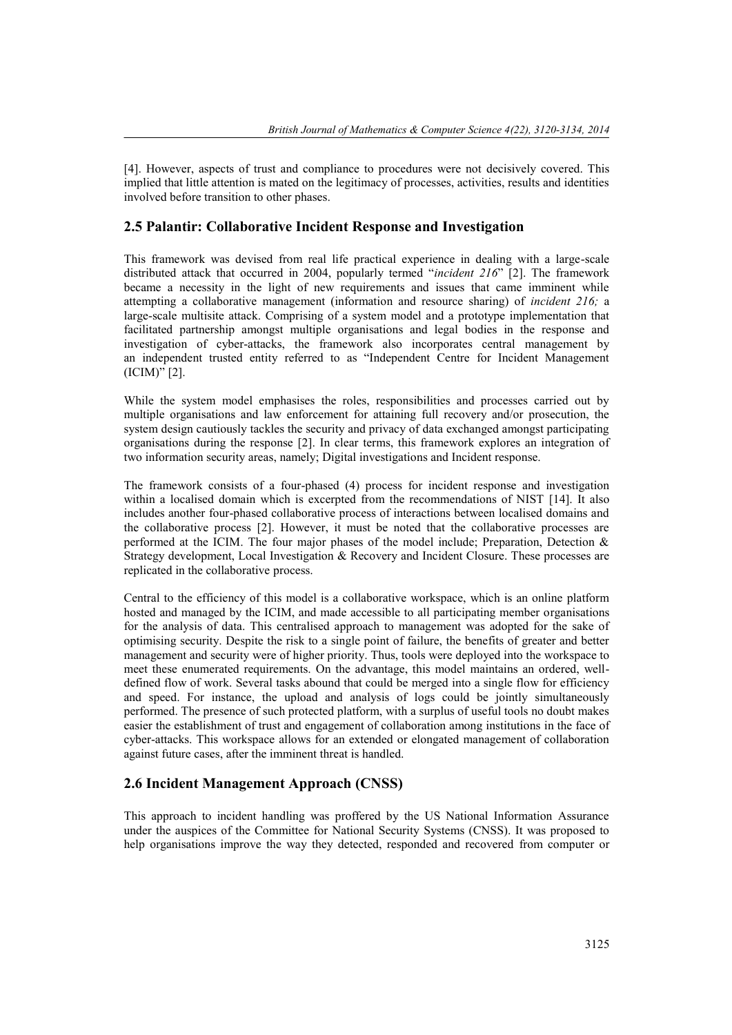[4]. However, aspects of trust and compliance to procedures were not decisively covered. This implied that little attention is mated on the legitimacy of processes, activities, results and identities involved before transition to other phases.

#### **2.5 Palantir: Collaborative Incident Response and Investigation**

This framework was devised from real life practical experience in dealing with a large-scale distributed attack that occurred in 2004, popularly termed "*incident 216*" [2]. The framework became a necessity in the light of new requirements and issues that came imminent while attempting a collaborative management (information and resource sharing) of *incident 216;* a large-scale multisite attack. Comprising of a system model and a prototype implementation that facilitated partnership amongst multiple organisations and legal bodies in the response and investigation of cyber-attacks, the framework also incorporates central management by an independent trusted entity referred to as "Independent Centre for Incident Management (ICIM)" [2].

While the system model emphasises the roles, responsibilities and processes carried out by multiple organisations and law enforcement for attaining full recovery and/or prosecution, the system design cautiously tackles the security and privacy of data exchanged amongst participating organisations during the response [2]. In clear terms, this framework explores an integration of two information security areas, namely; Digital investigations and Incident response.

The framework consists of a four-phased (4) process for incident response and investigation within a localised domain which is excerpted from the recommendations of NIST [14]. It also includes another four-phased collaborative process of interactions between localised domains and the collaborative process [2]. However, it must be noted that the collaborative processes are performed at the ICIM. The four major phases of the model include; Preparation, Detection & Strategy development, Local Investigation & Recovery and Incident Closure. These processes are replicated in the collaborative process.

Central to the efficiency of this model is a collaborative workspace, which is an online platform hosted and managed by the ICIM, and made accessible to all participating member organisations for the analysis of data. This centralised approach to management was adopted for the sake of optimising security. Despite the risk to a single point of failure, the benefits of greater and better management and security were of higher priority. Thus, tools were deployed into the workspace to meet these enumerated requirements. On the advantage, this model maintains an ordered, well defined flow of work. Several tasks abound that could be merged into a single flow for efficiency and speed. For instance, the upload and analysis of logs could be jointly simultaneously performed. The presence of such protected platform, with a surplus of useful tools no doubt makes easier the establishment of trust and engagement of collaboration among institutions in the face of cyber-attacks. This workspace allows for an extended or elongated management of collaboration against future cases, after the imminent threat is handled.

#### **2.6 Incident Management Approach (CNSS)**

This approach to incident handling was proffered by the US National Information Assurance under the auspices of the Committee for National Security Systems (CNSS). It was proposed to help organisations improve the way they detected, responded and recovered from computer or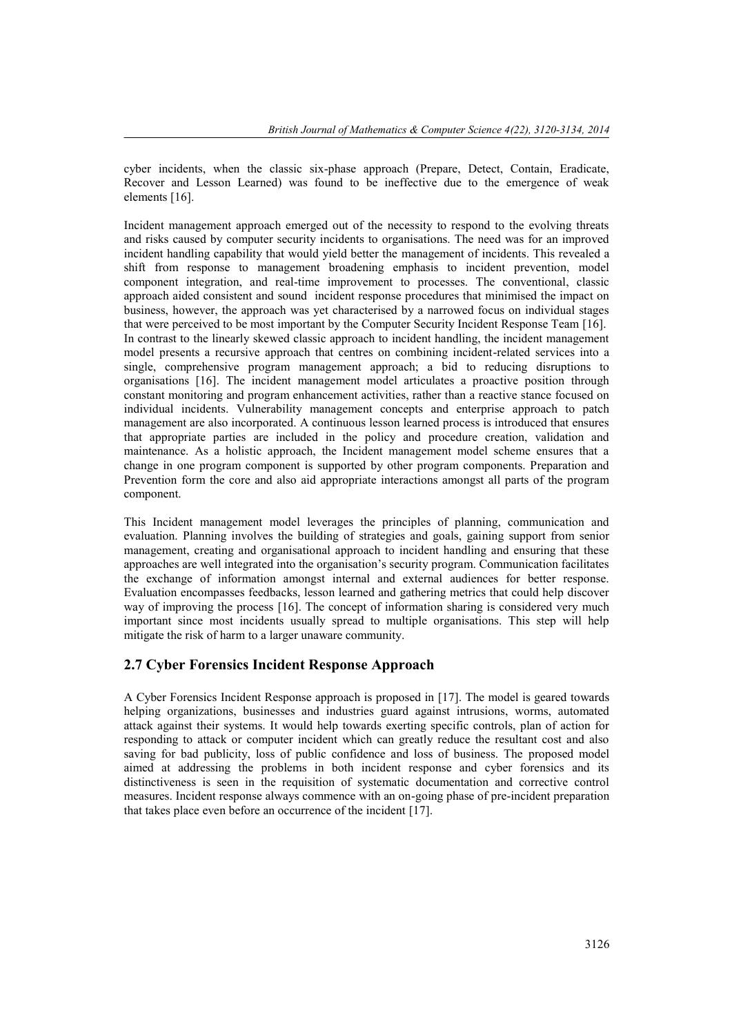cyber incidents, when the classic six-phase approach (Prepare, Detect, Contain, Eradicate, Recover and Lesson Learned) was found to be ineffective due to the emergence of weak elements [16].

Incident management approach emerged out of the necessity to respond to the evolving threats and risks caused by computer security incidents to organisations. The need was for an improved incident handling capability that would yield better the management of incidents. This revealed a shift from response to management broadening emphasis to incident prevention, model component integration, and real-time improvement to processes. The conventional, classic approach aided consistent and sound incident response procedures that minimised the impact on business, however, the approach was yet characterised by a narrowed focus on individual stages that were perceived to be most important by the Computer Security Incident Response Team [16]. In contrast to the linearly skewed classic approach to incident handling, the incident management model presents a recursive approach that centres on combining incident-related services into a single, comprehensive program management approach; a bid to reducing disruptions to organisations [16]. The incident management model articulates a proactive position through constant monitoring and program enhancement activities, rather than a reactive stance focused on individual incidents. Vulnerability management concepts and enterprise approach to patch management are also incorporated. A continuous lesson learned process is introduced that ensures that appropriate parties are included in the policy and procedure creation, validation and maintenance. As a holistic approach, the Incident management model scheme ensures that a change in one program component is supported by other program components. Preparation and Prevention form the core and also aid appropriate interactions amongst all parts of the program component.

This Incident management model leverages the principles of planning, communication and evaluation. Planning involves the building of strategies and goals, gaining support from senior management, creating and organisational approach to incident handling and ensuring that these approaches are well integrated into the organisation's security program. Communication facilitates the exchange of information amongst internal and external audiences for better response. Evaluation encompasses feedbacks, lesson learned and gathering metrics that could help discover way of improving the process [16]. The concept of information sharing is considered very much important since most incidents usually spread to multiple organisations. This step will help mitigate the risk of harm to a larger unaware community.

#### **2.7 Cyber Forensics Incident Response Approach**

A Cyber Forensics Incident Response approach is proposed in [17]. The model is geared towards helping organizations, businesses and industries guard against intrusions, worms, automated attack against their systems. It would help towards exerting specific controls, plan of action for responding to attack or computer incident which can greatly reduce the resultant cost and also saving for bad publicity, loss of public confidence and loss of business. The proposed model aimed at addressing the problems in both incident response and cyber forensics and its distinctiveness is seen in the requisition of systematic documentation and corrective control measures. Incident response always commence with an on-going phase of pre-incident preparation that takes place even before an occurrence of the incident [17].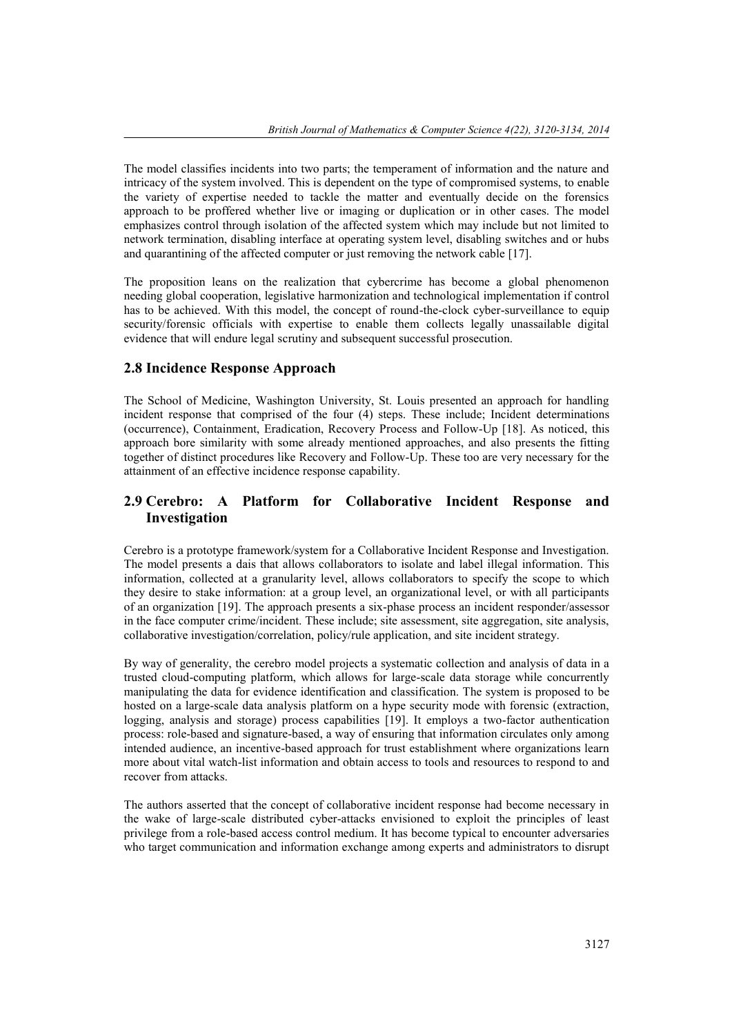The model classifies incidents into two parts; the temperament of information and the nature and intricacy of the system involved. This is dependent on the type of compromised systems, to enable the variety of expertise needed to tackle the matter and eventually decide on the forensics approach to be proffered whether live or imaging or duplication or in other cases. The model emphasizes control through isolation of the affected system which may include but not limited to network termination, disabling interface at operating system level, disabling switches and or hubs and quarantining of the affected computer or just removing the network cable [17].

The proposition leans on the realization that cybercrime has become a global phenomenon needing global cooperation, legislative harmonization and technological implementation if control has to be achieved. With this model, the concept of round-the-clock cyber-surveillance to equip security/forensic officials with expertise to enable them collects legally unassailable digital evidence that will endure legal scrutiny and subsequent successful prosecution.

#### **2.8 Incidence Response Approach**

The School of Medicine, Washington University, St. Louis presented an approach for handling incident response that comprised of the four (4) steps. These include; Incident determinations (occurrence), Containment, Eradication, Recovery Process and Follow-Up [18]. As noticed, this approach bore similarity with some already mentioned approaches, and also presents the fitting together of distinct procedures like Recovery and Follow-Up. These too are very necessary for the attainment of an effective incidence response capability.

### **2.9 Cerebro: A Platform for Collaborative Incident Response and Investigation**

Cerebro is a prototype framework/system for a Collaborative Incident Response and Investigation. The model presents a dais that allows collaborators to isolate and label illegal information. This information, collected at a granularity level, allows collaborators to specify the scope to which they desire to stake information: at a group level, an organizational level, or with all participants of an organization [19]. The approach presents a six-phase process an incident responder/assessor in the face computer crime/incident. These include; site assessment, site aggregation, site analysis, collaborative investigation/correlation, policy/rule application, and site incident strategy.

By way of generality, the cerebro model projects a systematic collection and analysis of data in a trusted cloud-computing platform, which allows for large-scale data storage while concurrently manipulating the data for evidence identification and classification. The system is proposed to be hosted on a large-scale data analysis platform on a hype security mode with forensic (extraction, logging, analysis and storage) process capabilities [19]. It employs a two-factor authentication process: role-based and signature-based, a way of ensuring that information circulates only among intended audience, an incentive-based approach for trust establishment where organizations learn more about vital watch-list information and obtain access to tools and resources to respond to and recover from attacks.

The authors asserted that the concept of collaborative incident response had become necessary in the wake of large-scale distributed cyber-attacks envisioned to exploit the principles of least privilege from a role-based access control medium. It has become typical to encounter adversaries who target communication and information exchange among experts and administrators to disrupt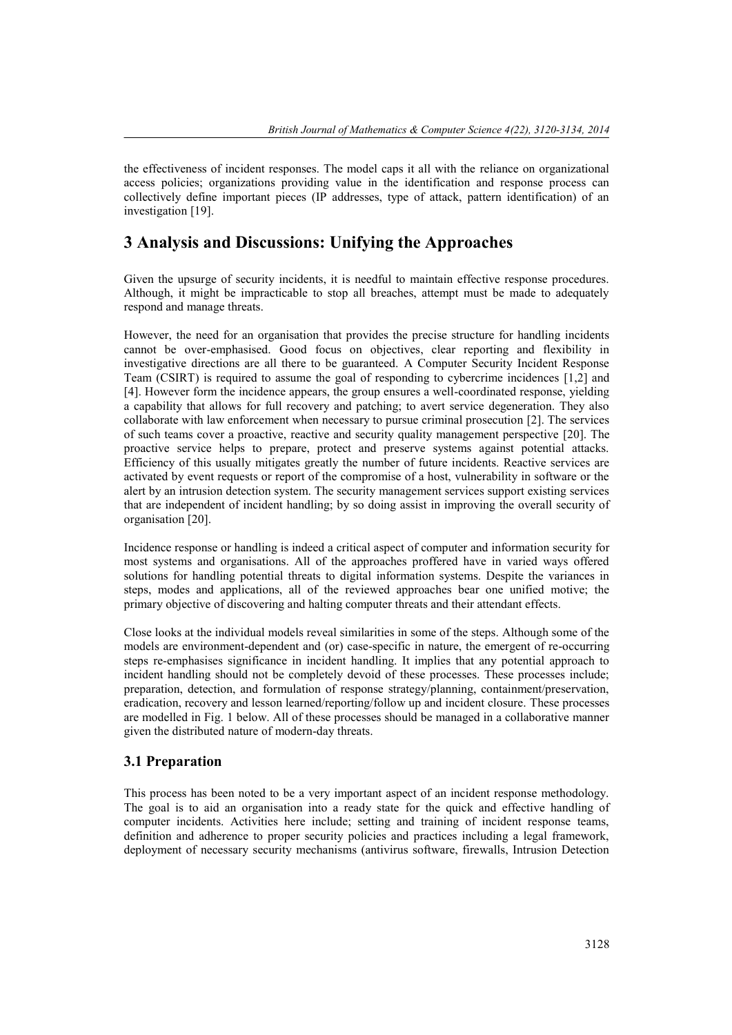the effectiveness of incident responses. The model caps it all with the reliance on organizational access policies; organizations providing value in the identification and response process can collectively define important pieces (IP addresses, type of attack, pattern identification) of an investigation [19].

### **3 Analysis and Discussions: Unifying the Approaches**

Given the upsurge of security incidents, it is needful to maintain effective response procedures. Although, it might be impracticable to stop all breaches, attempt must be made to adequately respond and manage threats.

However, the need for an organisation that provides the precise structure for handling incidents cannot be over-emphasised. Good focus on objectives, clear reporting and flexibility in investigative directions are all there to be guaranteed. A Computer Security Incident Response Team (CSIRT) is required to assume the goal of responding to cybercrime incidences [1,2] and [4]. However form the incidence appears, the group ensures a well-coordinated response, yielding a capability that allows for full recovery and patching; to avert service degeneration. They also collaborate with law enforcement when necessary to pursue criminal prosecution [2]. The services of such teams cover a proactive, reactive and security quality management perspective [20]. The proactive service helps to prepare, protect and preserve systems against potential attacks. Efficiency of this usually mitigates greatly the number of future incidents. Reactive services are activated by event requests or report of the compromise of a host, vulnerability in software or the alert by an intrusion detection system. The security management services support existing services that are independent of incident handling; by so doing assist in improving the overall security of organisation [20].

Incidence response or handling is indeed a critical aspect of computer and information security for most systems and organisations. All of the approaches proffered have in varied ways offered solutions for handling potential threats to digital information systems. Despite the variances in steps, modes and applications, all of the reviewed approaches bear one unified motive; the primary objective of discovering and halting computer threats and their attendant effects.

Close looks at the individual models reveal similarities in some of the steps. Although some of the models are environment-dependent and (or) case-specific in nature, the emergent of re-occurring steps re-emphasises significance in incident handling. It implies that any potential approach to incident handling should not be completely devoid of these processes. These processes include; preparation, detection, and formulation of response strategy/planning, containment/preservation, eradication, recovery and lesson learned/reporting/follow up and incident closure. These processes are modelled in Fig.1 below. All of these processes should be managed in a collaborative manner given the distributed nature of modern-day threats.

#### **3.1 Preparation**

This process has been noted to be a very important aspect of an incident response methodology. The goal is to aid an organisation into a ready state for the quick and effective handling of computer incidents. Activities here include; setting and training of incident response teams, definition and adherence to proper security policies and practices including a legal framework, deployment of necessary security mechanisms (antivirus software, firewalls, Intrusion Detection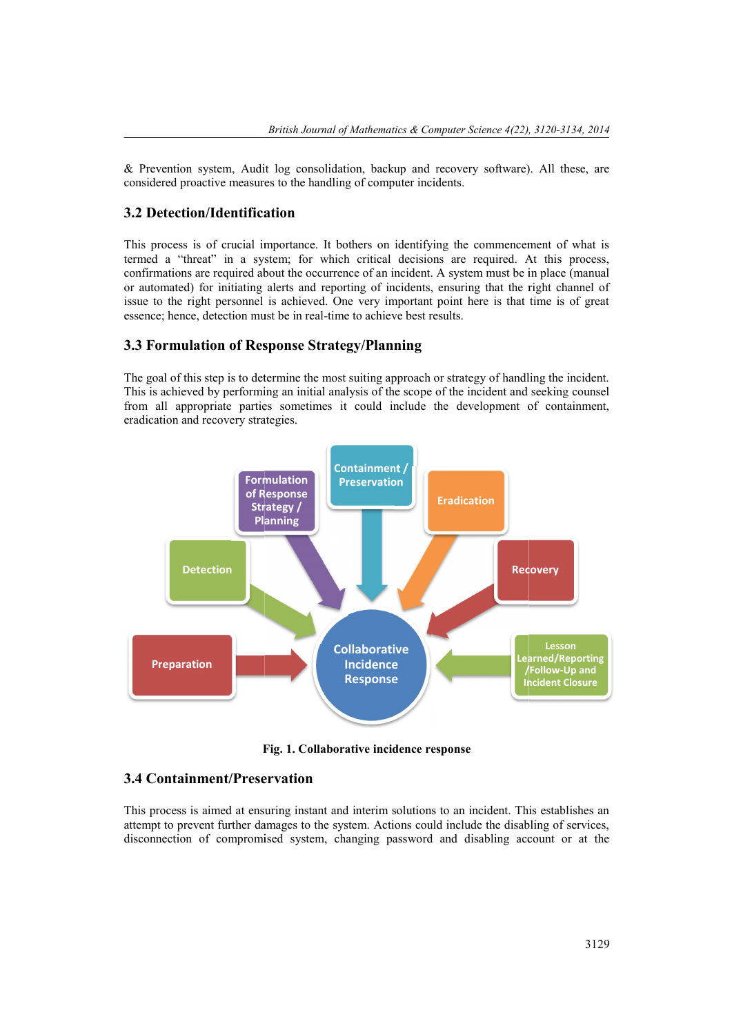& Prevention system, Audit log consolidation, backup and recovery software). All these, are considered proactive measures to the handling of computer incidents.

#### **3.2 Detection/Identification**

This process is of crucial importance. It bothers on identifying the commencement of what is termed a "threat" in a system; for which critical decisions are required. At this process, confirmations are required about the occurrence of an incident. A system must be in place (manual or automated) for initiating alerts and reporting of incidents, ensuring that the right channel of issue to the right personnel is achieved. One very important point here is that time is of great essence; hence, detection must be in real-time to achieve best results. **Example 18 Consolidation,** backup and recovery software). All these, are considered proactive measures to the handling of computer incidents.<br> **3.2 Detection/Identification**<br>
This process is of crucial importance. It both bothers on identifying the co<br>ich critical decisions are re<br>ence of an incident. A system<br>oorting of incidents, ensuring

#### **3.3 Formulation of Response Strategy/Planning Formulation of Response Strategy/Planning**

The goal of this step is to determine the most suiting approach or strategy of handling the incident. This is achieved by performing an initial analysis of the scope of the incident and seeking counsel from all appropriate parties sometimes it could include the development of containment, eradication and recovery strategies. Soal of this step is to determine the most suiting approach or strategy of handling the incident.<br>is achieved by performing an initial analysis of the scope of the incident and seeking counsel<br>all appropriate parties somet



**Fig. 1. Collaborative incidence response incidence**

#### **3.4 Containment/Preservation**

This process is aimed at ensuring instant and interim solutions to an incident. This establishes an attempt to prevent further damages to the system. Actions could include the disabling of services, disconnection of compromised system, changing password and disabling account or at the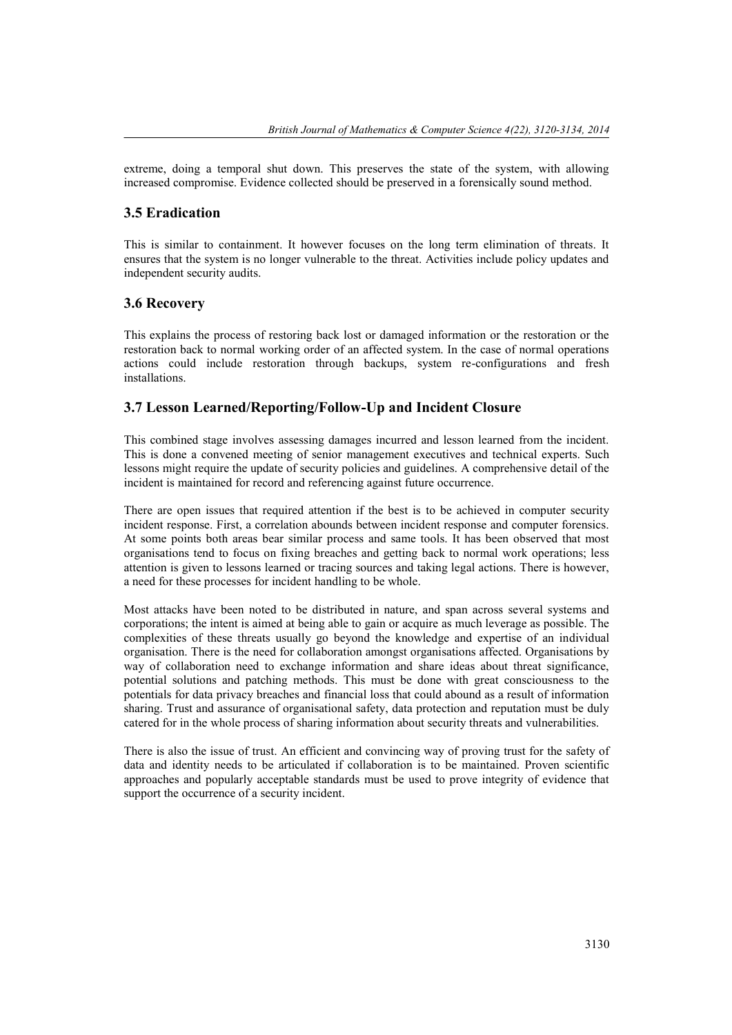extreme, doing a temporal shut down. This preserves the state of the system, with allowing increased compromise. Evidence collected should be preserved in a forensically sound method.

#### **3.5 Eradication**

This is similar to containment. It however focuses on the long term elimination of threats. It ensures that the system is no longer vulnerable to the threat. Activities include policy updates and independent security audits.

#### **3.6 Recovery**

This explains the process of restoring back lost or damaged information or the restoration or the restoration back to normal working order of an affected system. In the case of normal operations actions could include restoration through backups, system re-configurations and fresh installations.

#### **3.7 Lesson Learned/Reporting/Follow-Up and Incident Closure**

This combined stage involves assessing damages incurred and lesson learned from the incident. This is done a convened meeting of senior management executives and technical experts. Such lessons might require the update of security policies and guidelines. A comprehensive detail of the incident is maintained for record and referencing against future occurrence.

There are open issues that required attention if the best is to be achieved in computer security incident response. First, a correlation abounds between incident response and computer forensics. At some points both areas bear similar process and same tools. It has been observed that most organisations tend to focus on fixing breaches and getting back to normal work operations; less attention is given to lessons learned or tracing sources and taking legal actions. There is however, a need for these processes for incident handling to be whole.

Most attacks have been noted to be distributed in nature, and span across several systems and corporations; the intent is aimed at being able to gain or acquire as much leverage as possible. The complexities of these threats usually go beyond the knowledge and expertise of an individual organisation. There is the need for collaboration amongst organisations affected. Organisations by way of collaboration need to exchange information and share ideas about threat significance, potential solutions and patching methods. This must be done with great consciousness to the potentials for data privacy breaches and financial loss that could abound as a result of information sharing. Trust and assurance of organisational safety, data protection and reputation must be duly catered for in the whole process of sharing information about security threats and vulnerabilities.

There is also the issue of trust. An efficient and convincing way of proving trust for the safety of data and identity needs to be articulated if collaboration is to be maintained. Proven scientific approaches and popularly acceptable standards must be used to prove integrity of evidence that support the occurrence of a security incident.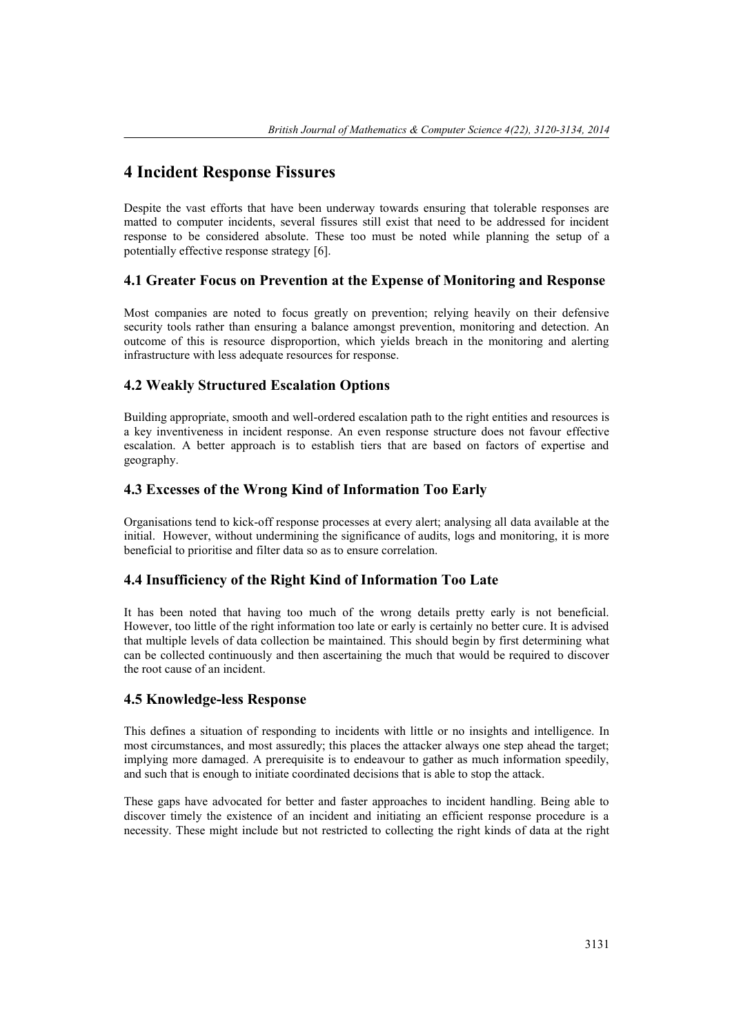## **4 Incident Response Fissures**

Despite the vast efforts that have been underway towards ensuring that tolerable responses are matted to computer incidents, several fissures still exist that need to be addressed for incident response to be considered absolute. These too must be noted while planning the setup of a potentially effective response strategy [6].

#### **4.1 Greater Focus on Prevention at the Expense of Monitoring and Response**

Most companies are noted to focus greatly on prevention; relying heavily on their defensive security tools rather than ensuring a balance amongst prevention, monitoring and detection. An outcome of this is resource disproportion, which yields breach in the monitoring and alerting infrastructure with less adequate resources for response.

#### **4.2 Weakly Structured Escalation Options**

Building appropriate, smooth and well-ordered escalation path to the right entities and resources is a key inventiveness in incident response. An even response structure does not favour effective escalation. A better approach is to establish tiers that are based on factors of expertise and geography.

#### **4.3 Excesses of the Wrong Kind of Information Too Early**

Organisations tend to kick-off response processes at every alert; analysing all data available at the initial. However, without undermining the significance of audits, logs and monitoring, it is more beneficial to prioritise and filter data so as to ensure correlation.

#### **4.4 Insufficiency of the Right Kind of Information Too Late**

It has been noted that having too much of the wrong details pretty early is not beneficial. However, too little of the right information too late or early is certainly no better cure. It is advised that multiple levels of data collection be maintained. This should begin by first determining what can be collected continuously and then ascertaining the much that would be required to discover the root cause of an incident.

#### **4.5 Knowledge-less Response**

This defines a situation of responding to incidents with little or no insights and intelligence. In most circumstances, and most assuredly; this places the attacker always one step ahead the target; implying more damaged. A prerequisite is to endeavour to gather as much information speedily, and such that is enough to initiate coordinated decisions that is able to stop the attack.

These gaps have advocated for better and faster approaches to incident handling. Being able to discover timely the existence of an incident and initiating an efficient response procedure is a necessity. These might include but not restricted to collecting the right kinds of data at the right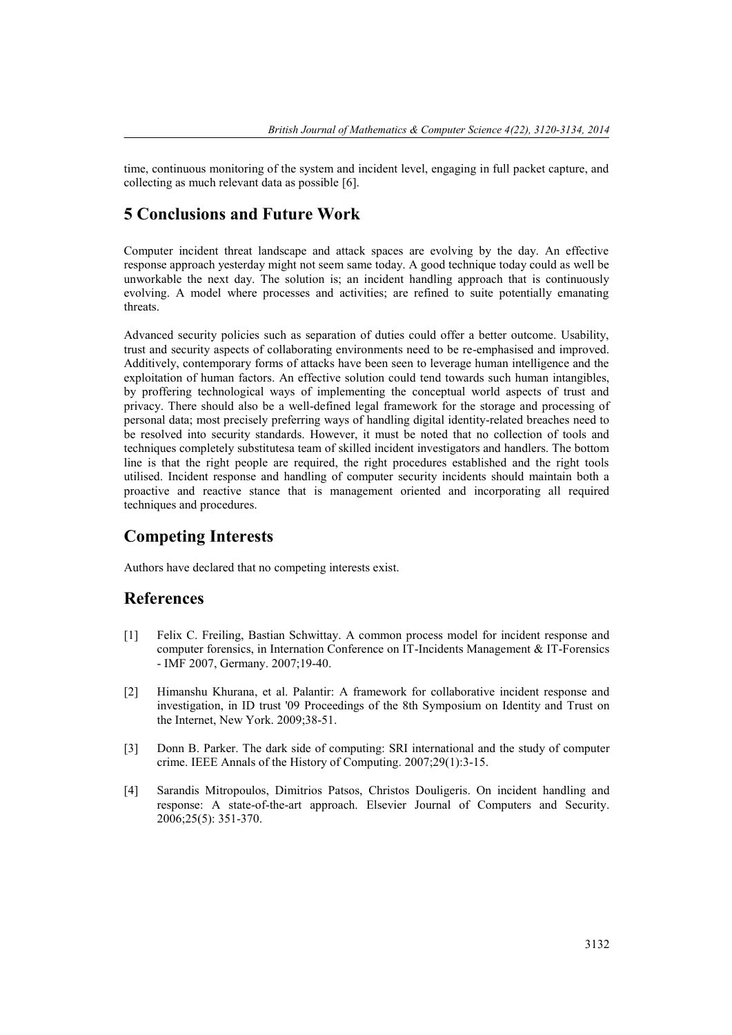time, continuous monitoring of the system and incident level, engaging in full packet capture, and collecting as much relevant data as possible [6].

### **5 Conclusions and Future Work**

Computer incident threat landscape and attack spaces are evolving by the day. An effective response approach yesterday might not seem same today. A good technique today could as well be unworkable the next day. The solution is; an incident handling approach that is continuously evolving. A model where processes and activities; are refined to suite potentially emanating threats.

Advanced security policies such as separation of duties could offer a better outcome. Usability, trust and security aspects of collaborating environments need to be re-emphasised and improved. Additively, contemporary forms of attacks have been seen to leverage human intelligence and the exploitation of human factors. An effective solution could tend towards such human intangibles, by proffering technological ways of implementing the conceptual world aspects of trust and privacy. There should also be a well-defined legal framework for the storage and processing of personal data; most precisely preferring ways of handling digital identity-related breaches need to be resolved into security standards. However, it must be noted that no collection of tools and techniques completely substitutesa team of skilled incident investigators and handlers. The bottom line is that the right people are required, the right procedures established and the right tools utilised. Incident response and handling of computer security incidents should maintain both a proactive and reactive stance that is management oriented and incorporating all required techniques and procedures.

### **Competing Interests**

Authors have declared that no competing interests exist.

### **References**

- [1] Felix C. Freiling, Bastian Schwittay. A common process model for incident response and computer forensics, in Internation Conference on IT-Incidents Management & IT-Forensics - IMF 2007, Germany. 2007;19-40.
- [2] Himanshu Khurana, et al. Palantir: A framework for collaborative incident response and investigation, in ID trust '09 Proceedings of the 8th Symposium on Identity and Trust on the Internet, New York. 2009;38-51.
- [3] Donn B. Parker. The dark side of computing: SRI international and the study of computer crime. IEEE Annals of the History of Computing. 2007;29(1):3-15.
- [4] Sarandis Mitropoulos, Dimitrios Patsos, Christos Douligeris. On incident handling and response: A state-of-the-art approach. Elsevier Journal of Computers and Security. 2006;25(5): 351-370.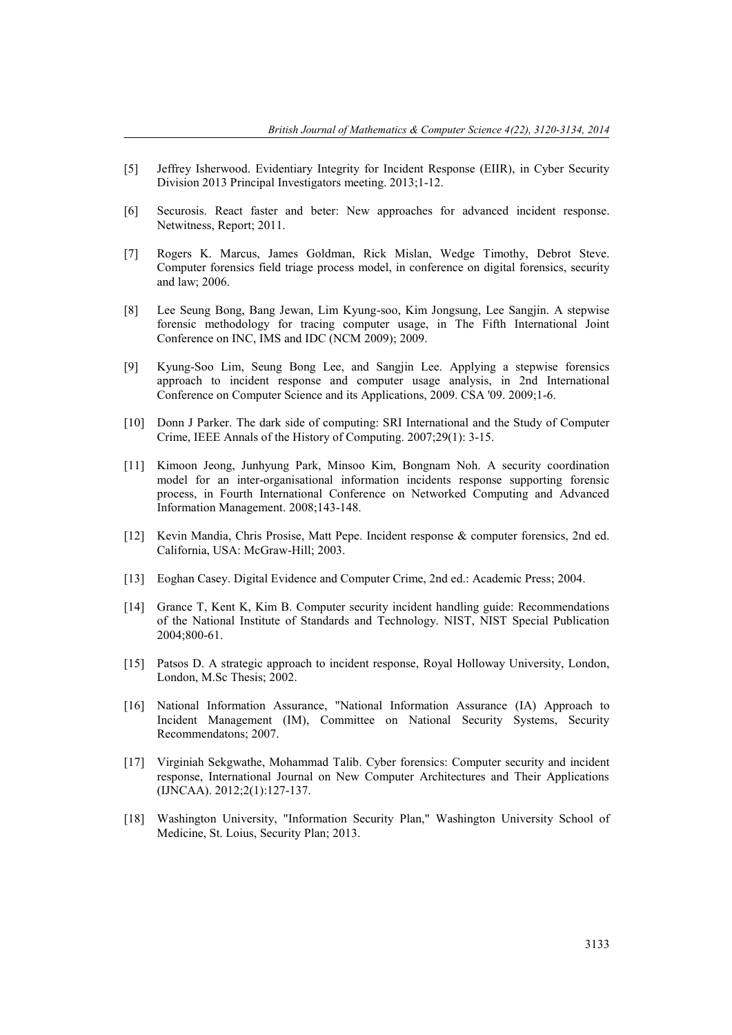- [5] Jeffrey Isherwood. Evidentiary Integrity for Incident Response (EIIR), in Cyber Security Division 2013 Principal Investigators meeting. 2013;1-12.
- [6] Securosis. React faster and beter: New approaches for advanced incident response. Netwitness, Report; 2011.
- [7] Rogers K. Marcus, James Goldman, Rick Mislan, Wedge Timothy, Debrot Steve. Computer forensics field triage process model, in conference on digital forensics, security and law; 2006.
- [8] Lee Seung Bong, Bang Jewan, Lim Kyung-soo, Kim Jongsung, Lee Sangjin. A stepwise forensic methodology for tracing computer usage, in The Fifth International Joint Conference on INC, IMS and IDC (NCM 2009); 2009.
- [9] Kyung-Soo Lim, Seung Bong Lee, and Sangjin Lee. Applying a stepwise forensics approach to incident response and computer usage analysis, in 2nd International Conference on Computer Science and its Applications, 2009. CSA '09. 2009;1-6.
- [10] Donn J Parker. The dark side of computing: SRI International and the Study of Computer Crime, IEEE Annals of the History of Computing. 2007;29(1): 3-15.
- [11] Kimoon Jeong, Junhyung Park, Minsoo Kim, Bongnam Noh. A security coordination model for an inter-organisational information incidents response supporting forensic process, in Fourth International Conference on Networked Computing and Advanced Information Management. 2008;143-148.
- [12] Kevin Mandia, Chris Prosise, Matt Pepe. Incident response & computer forensics, 2nd ed. California, USA: McGraw-Hill; 2003.
- [13] Eoghan Casey. Digital Evidence and Computer Crime, 2nd ed.: Academic Press; 2004.
- [14] Grance T, Kent K, Kim B. Computer security incident handling guide: Recommendations of the National Institute of Standards and Technology. NIST, NIST Special Publication 2004;800-61.
- [15] Patsos D. A strategic approach to incident response, Royal Holloway University, London, London, M.Sc Thesis; 2002.
- [16] National Information Assurance, "National Information Assurance (IA) Approach to Incident Management (IM), Committee on National Security Systems, Security Recommendatons; 2007.
- [17] Virginiah Sekgwathe, Mohammad Talib. Cyber forensics: Computer security and incident response, International Journal on New Computer Architectures and Their Applications (IJNCAA). 2012;2(1):127-137.
- [18] Washington University, "Information Security Plan," Washington University School of Medicine, St. Loius, Security Plan; 2013.